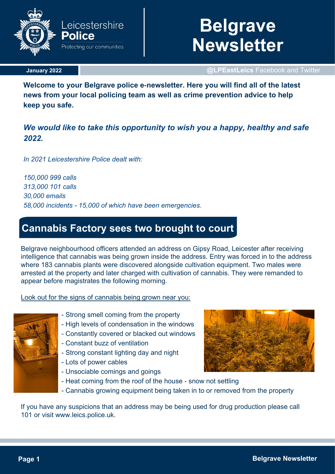

### **January 2022**

# **Belgrave Newsletter**

**@LPEastLeics** Facebook and Twitter

**Welcome to your Belgrave police e-newsletter. Here you will find all of the latest news from your local policing team as well as crime prevention advice to help keep you safe.**

### *We would like to take this opportunity to wish you a happy, healthy and safe 2022.*

*In 2021 Leicestershire Police dealt with:*

*150,000 999 calls 313,000 101 calls 30,000 emails 58,000 incidents - 15,000 of which have been emergencies.*

# **Cannabis Factory sees two brought to court**

Belgrave neighbourhood officers attended an address on Gipsy Road, Leicester after receiving intelligence that cannabis was being grown inside the address. Entry was forced in to the address where 183 cannabis plants were discovered alongside cultivation equipment. Two males were arrested at the property and later charged with cultivation of cannabis. They were remanded to appear before magistrates the following morning.

Look out for the signs of cannabis being grown near you:



- Strong smell coming from the property
- High levels of condensation in the windows
- Constantly covered or blacked out windows
- Constant buzz of ventilation
- Strong constant lighting day and night
- Lots of power cables
- Unsociable comings and goings



- Heat coming from the roof of the house - snow not settling - Cannabis growing equipment being taken in to or removed from the property

If you have any suspicions that an address may be being used for drug production please call 101 or visit www.leics.police.uk.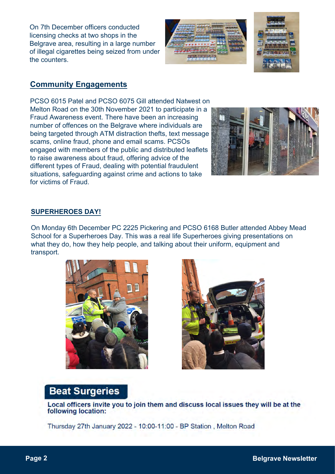On 7th December officers conducted licensing checks at two shops in the Belgrave area, resulting in a large number of illegal cigarettes being seized from under the counters.





### **Community Engagements**

PCSO 6015 Patel and PCSO 6075 Gill attended Natwest on Melton Road on the 30th November 2021 to participate in a Fraud Awareness event. There have been an increasing number of offences on the Belgrave where individuals are being targeted through ATM distraction thefts, text message scams, online fraud, phone and email scams. PCSOs engaged with members of the public and distributed leaflets to raise awareness about fraud, offering advice of the different types of Fraud, dealing with potential fraudulent situations, safeguarding against crime and actions to take for victims of Fraud.



### **SUPERHEROES DAY!**

On Monday 6th December PC 2225 Pickering and PCSO 6168 Butler attended Abbey Mead School for a Superheroes Day. This was a real life Superheroes giving presentations on what they do, how they help people, and talking about their uniform, equipment and transport.





# **Beat Surgeries**

Local officers invite you to join them and discuss local issues they will be at the following location:

Thursday 27th January 2022 - 10:00-11:00 - BP Station, Melton Road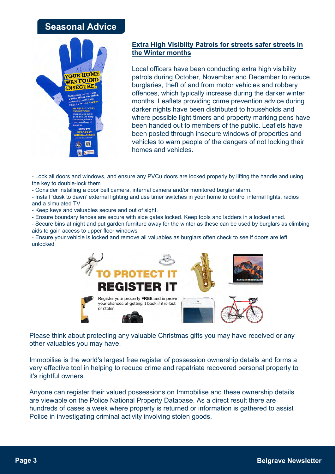## **Seasonal Advice**



### **Extra High Visibilty Patrols for streets safer streets in the Winter months**

Local officers have been conducting extra high visibility patrols during October, November and December to reduce burglaries, theft of and from motor vehicles and robbery offences, which typically increase during the darker winter months. Leaflets providing crime prevention advice during darker nights have been distributed to households and where possible light timers and property marking pens have been handed out to members of the public. Leaflets have been posted through insecure windows of properties and vehicles to warn people of the dangers of not locking their homes and vehicles.

- Lock all doors and windows, and ensure any PVCu doors are locked properly by lifting the handle and using the key to double-lock them

- Consider installing a door bell camera, internal camera and/or monitored burglar alarm.

- Install 'dusk to dawn' external lighting and use timer switches in your home to control internal lights, radios and a simulated TV.

- Keep keys and valuables secure and out of sight.
- Ensure boundary fences are secure with side gates locked. Keep tools and ladders in a locked shed.
- Secure bins at night and put garden furniture away for the winter as these can be used by burglars as climbing aids to gain access to upper floor windows

- Ensure your vehicle is locked and remove all valuables as burglars often check to see if doors are left unlocked



Please think about protecting any valuable Christmas gifts you may have received or any other valuables you may have.

Immobilise is the world's largest free register of possession ownership details and forms a very effective tool in helping to reduce crime and repatriate recovered personal property to it's rightful owners.

Anyone can register their valued possessions on Immobilise and these ownership details are viewable on the Police National Property Database. As a direct result there are hundreds of cases a week where property is returned or information is gathered to assist Police in investigating criminal activity involving stolen goods.